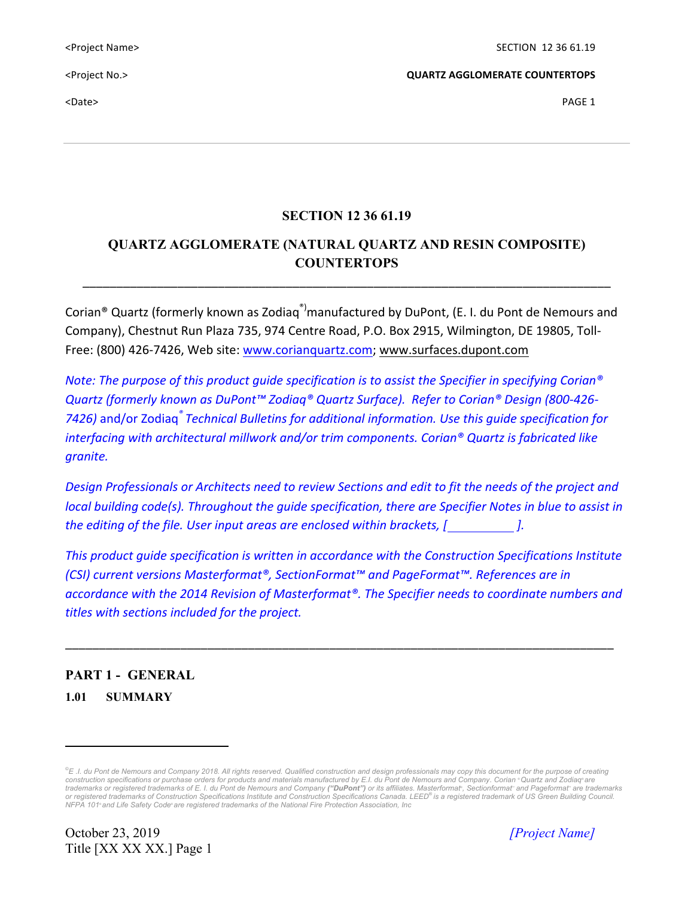$\blacktriangle$  PAGE 1  $\blacktriangleright$ 

<Project No.> **QUARTZ AGGLOMERATE COUNTERTOPS**

## **SECTION 12 36 61.19**

# **QUARTZ AGGLOMERATE (NATURAL QUARTZ AND RESIN COMPOSITE) COUNTERTOPS**

\_\_\_\_\_\_\_\_\_\_\_\_\_\_\_\_\_\_\_\_\_\_\_\_\_\_\_\_\_\_\_\_\_\_\_\_\_\_\_\_\_\_\_\_\_\_\_\_\_\_\_\_\_\_\_\_\_\_\_\_\_\_\_\_\_\_\_\_\_\_\_\_\_\_\_\_\_\_

Corian<sup>®</sup> Quartz (formerly known as Zodiag<sup>®)</sup>manufactured by DuPont, (E. I. du Pont de Nemours and Company), Chestnut Run Plaza 735, 974 Centre Road, P.O. Box 2915, Wilmington, DE 19805, Toll-Free: (800) 426-7426, Web site: www.corianquartz.com; www.surfaces.dupont.com

*Note:* The purpose of this product quide specification is to assist the Specifier in specifying Corian<sup>®</sup> *Quartz (formerly known as DuPont™ Zodiaq® Quartz Surface). Refer to Corian® Design (800-426- 7426)* and/or Zodiaq*® Technical Bulletins for additional information. Use this guide specification for interfacing* with architectural millwork and/or trim components. Corian<sup>®</sup> Quartz is fabricated like *granite.*

*Design Professionals* or Architects need to review Sections and edit to fit the needs of the project and *local building code(s). Throughout the quide specification, there are Specifier Notes in blue to assist in the editing of the file. User input areas are enclosed within brackets,* [  $\qquad$  ].

This product quide specification is written in accordance with the Construction Specifications Institute *(CSI)* current versions Masterformat®, SectionFormat™ and PageFormat™. References are in *accordance with the 2014 Revision of Masterformat®. The Specifier needs to coordinate numbers and titles with sections included for the project.*

\_\_\_\_\_\_\_\_\_\_\_\_\_\_\_\_\_\_\_\_\_\_\_\_\_\_\_\_\_\_\_\_\_\_\_\_\_\_\_\_\_\_\_\_\_\_\_\_\_\_\_\_\_\_\_\_\_\_\_\_\_\_\_\_\_\_\_\_\_\_\_\_\_\_\_\_\_\_\_\_\_

# **PART 1 - GENERAL 1.01 SUMMARY**

October 23, 2019 *[Project Name]* Title [XX XX XX.] Page 1

 

*<sup>©</sup> E .I. du Pont de Nemours and Company 2018. All rights reserved. Qualified construction and design professionals may copy this document for the purpose of creating construction specifications or purchase orders for products and materials manufactured by E.I. du Pont de Nemours and Company. Corian ®Quartz and Zodiaq® are*  trademarks or registered trademarks of E. I. du Pont de Nemours and Company ("**DuPont**") or its affiliates. Masterformat<sup>®</sup>, Sectionformat™ and Pageformat™ are trademarks *or registered trademarks of Construction Specifications Institute and Construction Specifications Canada. LEED® is a registered trademark of US Green Building Council. NFPA 101® and Life Safety Code® are registered trademarks of the National Fire Protection Association, Inc*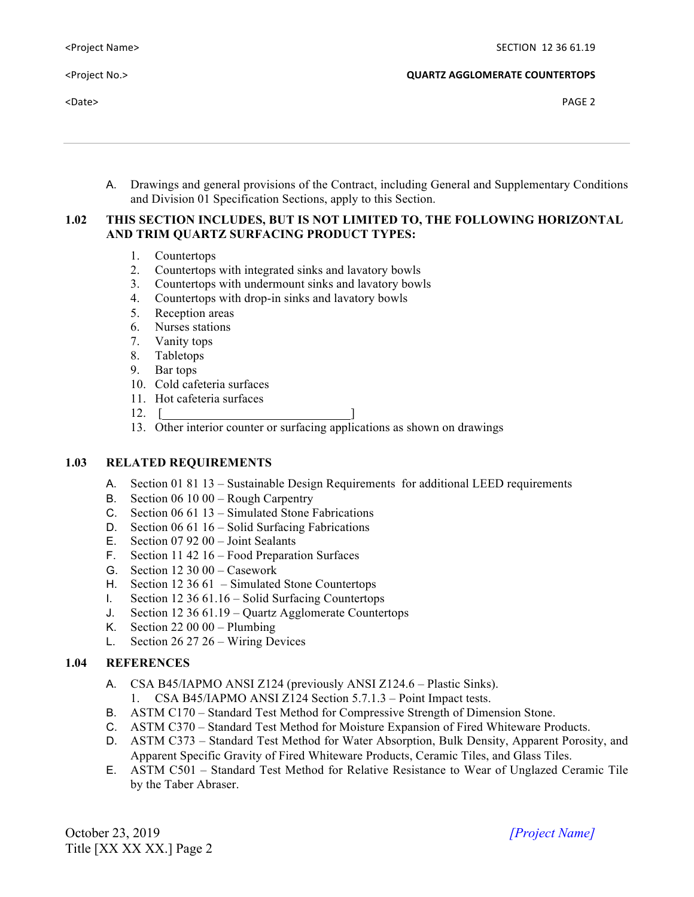A. Drawings and general provisions of the Contract, including General and Supplementary Conditions and Division 01 Specification Sections, apply to this Section.

## **1.02 THIS SECTION INCLUDES, BUT IS NOT LIMITED TO, THE FOLLOWING HORIZONTAL AND TRIM QUARTZ SURFACING PRODUCT TYPES:**

- 1. Countertops
- 2. Countertops with integrated sinks and lavatory bowls
- 3. Countertops with undermount sinks and lavatory bowls
- 4. Countertops with drop-in sinks and lavatory bowls
- 5. Reception areas
- 6. Nurses stations
- 7. Vanity tops
- 8. Tabletops
- 9. Bar tops
- 10. Cold cafeteria surfaces
- 11. Hot cafeteria surfaces
- $12. \quad [$
- 13. Other interior counter or surfacing applications as shown on drawings

### **1.03 RELATED REQUIREMENTS**

- A. Section 01 81 13 Sustainable Design Requirements for additional LEED requirements
- B. Section 06 10 00 Rough Carpentry
- C. Section 06 61 13 Simulated Stone Fabrications
- D. Section 06 61 16 Solid Surfacing Fabrications
- E. Section 07 92 00 Joint Sealants
- F. Section 11 42 16 Food Preparation Surfaces
- G. Section 12 30 00 Casework
- H. Section 12 36 61 Simulated Stone Countertops
- I. Section 12 36 61.16 Solid Surfacing Countertops
- J. Section 12 36 61.19 Quartz Agglomerate Countertops
- K. Section 22 00 00 Plumbing
- L. Section 26 27 26 Wiring Devices

## **1.04 REFERENCES**

- A. CSA B45/IAPMO ANSI Z124 (previously ANSI Z124.6 Plastic Sinks).
	- 1. CSA B45/IAPMO ANSI Z124 Section 5.7.1.3 Point Impact tests.
- B. ASTM C170 Standard Test Method for Compressive Strength of Dimension Stone.
- C. ASTM C370 Standard Test Method for Moisture Expansion of Fired Whiteware Products.
- D. ASTM C373 Standard Test Method for Water Absorption, Bulk Density, Apparent Porosity, and Apparent Specific Gravity of Fired Whiteware Products, Ceramic Tiles, and Glass Tiles.
- E. ASTM C501 Standard Test Method for Relative Resistance to Wear of Unglazed Ceramic Tile by the Taber Abraser.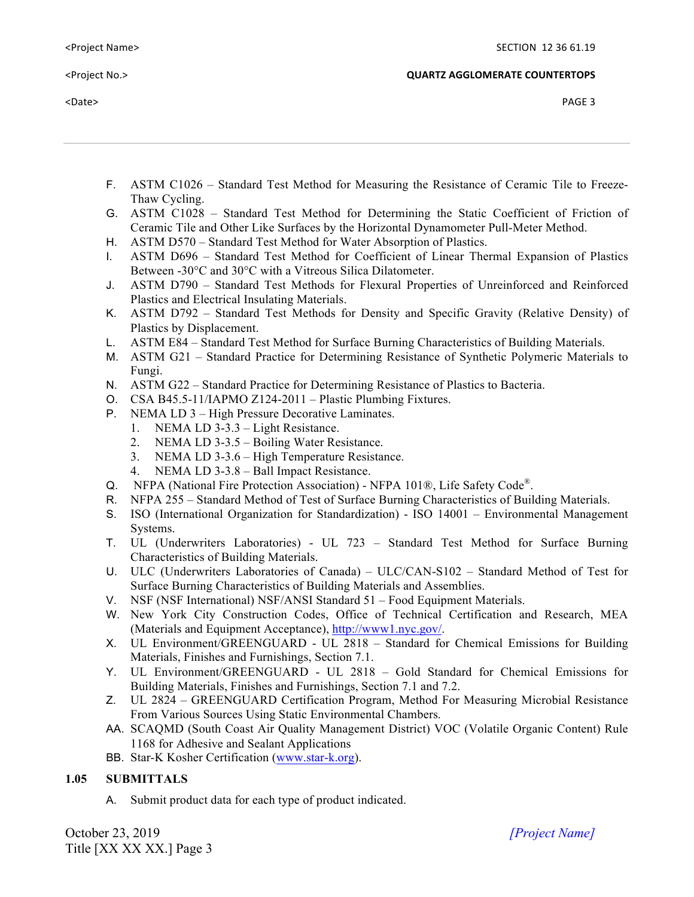|  | <project name=""></project> |  |
|--|-----------------------------|--|
|  |                             |  |

 $\blacktriangle$  PAGE 3  $\blacktriangleright$ 

- F. ASTM C1026 Standard Test Method for Measuring the Resistance of Ceramic Tile to Freeze-Thaw Cycling.
- G. ASTM C1028 Standard Test Method for Determining the Static Coefficient of Friction of Ceramic Tile and Other Like Surfaces by the Horizontal Dynamometer Pull-Meter Method.
- H. ASTM D570 Standard Test Method for Water Absorption of Plastics.
- I. ASTM D696 Standard Test Method for Coefficient of Linear Thermal Expansion of Plastics Between -30°C and 30°C with a Vitreous Silica Dilatometer.
- J. ASTM D790 Standard Test Methods for Flexural Properties of Unreinforced and Reinforced Plastics and Electrical Insulating Materials.
- K. ASTM D792 Standard Test Methods for Density and Specific Gravity (Relative Density) of Plastics by Displacement.
- L. ASTM E84 Standard Test Method for Surface Burning Characteristics of Building Materials.
- M. ASTM G21 Standard Practice for Determining Resistance of Synthetic Polymeric Materials to Fungi.
- N. ASTM G22 Standard Practice for Determining Resistance of Plastics to Bacteria.
- O. CSA B45.5-11/IAPMO Z124-2011 Plastic Plumbing Fixtures.
- P. NEMA LD 3 High Pressure Decorative Laminates.
	- 1. NEMA LD 3-3.3 Light Resistance.
	- 2. NEMA LD 3-3.5 Boiling Water Resistance.
	- 3. NEMA LD 3-3.6 High Temperature Resistance.
	- 4. NEMA LD 3-3.8 Ball Impact Resistance.
- Q. NFPA (National Fire Protection Association) NFPA 101®, Life Safety Code®.
- R. NFPA 255 Standard Method of Test of Surface Burning Characteristics of Building Materials.
- S. ISO (International Organization for Standardization) ISO 14001 Environmental Management Systems.
- T. UL (Underwriters Laboratories) UL 723 Standard Test Method for Surface Burning Characteristics of Building Materials.
- U. ULC (Underwriters Laboratories of Canada) ULC/CAN-S102 Standard Method of Test for Surface Burning Characteristics of Building Materials and Assemblies.
- V. NSF (NSF International) NSF/ANSI Standard 51 Food Equipment Materials.
- W. New York City Construction Codes, Office of Technical Certification and Research, MEA (Materials and Equipment Acceptance), http://www1.nyc.gov/.
- X. UL Environment/GREENGUARD UL 2818 Standard for Chemical Emissions for Building Materials, Finishes and Furnishings, Section 7.1.
- Y. UL Environment/GREENGUARD UL 2818 Gold Standard for Chemical Emissions for Building Materials, Finishes and Furnishings, Section 7.1 and 7.2.
- Z. UL 2824 GREENGUARD Certification Program, Method For Measuring Microbial Resistance From Various Sources Using Static Environmental Chambers.
- AA. SCAQMD (South Coast Air Quality Management District) VOC (Volatile Organic Content) Rule 1168 for Adhesive and Sealant Applications
- BB. Star-K Kosher Certification (www.star-k.org).

## **1.05 SUBMITTALS**

A. Submit product data for each type of product indicated.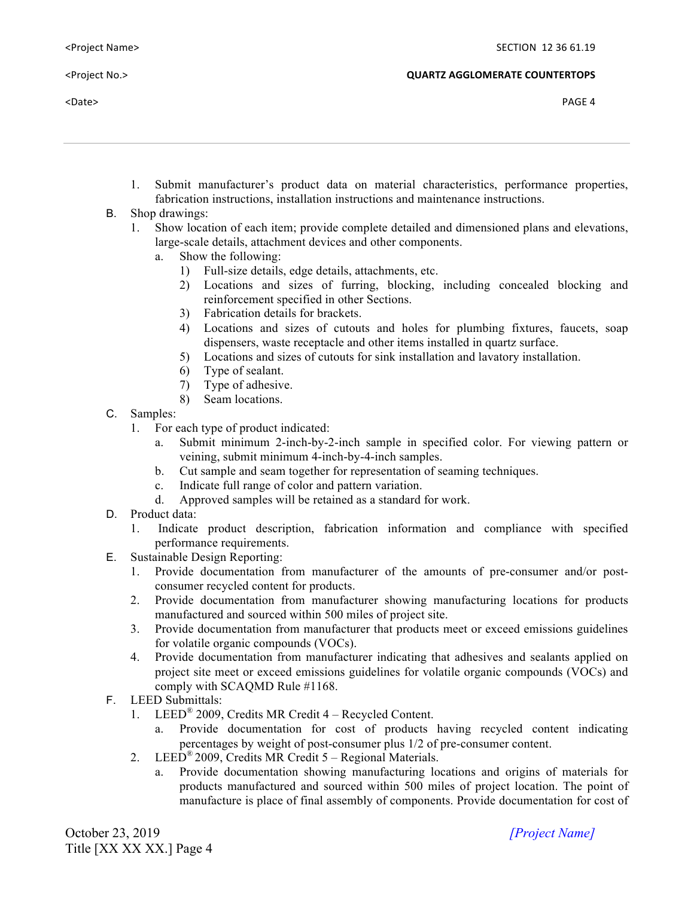- 1. Submit manufacturer's product data on material characteristics, performance properties, fabrication instructions, installation instructions and maintenance instructions.
- B. Shop drawings:
	- 1. Show location of each item; provide complete detailed and dimensioned plans and elevations, large-scale details, attachment devices and other components.
		- a. Show the following:
			- 1) Full-size details, edge details, attachments, etc.
			- 2) Locations and sizes of furring, blocking, including concealed blocking and reinforcement specified in other Sections.
			- 3) Fabrication details for brackets.
			- 4) Locations and sizes of cutouts and holes for plumbing fixtures, faucets, soap dispensers, waste receptacle and other items installed in quartz surface.
			- 5) Locations and sizes of cutouts for sink installation and lavatory installation.
			- 6) Type of sealant.
			- 7) Type of adhesive.<br>8) Seam locations.
			- Seam locations.
- C. Samples:
	- 1. For each type of product indicated:
		- a. Submit minimum 2-inch-by-2-inch sample in specified color. For viewing pattern or veining, submit minimum 4-inch-by-4-inch samples.
		- b. Cut sample and seam together for representation of seaming techniques.
		- c. Indicate full range of color and pattern variation.
		- d. Approved samples will be retained as a standard for work.
- D. Product data:
	- 1. Indicate product description, fabrication information and compliance with specified performance requirements.
- E. Sustainable Design Reporting:
	- 1. Provide documentation from manufacturer of the amounts of pre-consumer and/or postconsumer recycled content for products.
	- 2. Provide documentation from manufacturer showing manufacturing locations for products manufactured and sourced within 500 miles of project site.
	- 3. Provide documentation from manufacturer that products meet or exceed emissions guidelines for volatile organic compounds (VOCs).
	- 4. Provide documentation from manufacturer indicating that adhesives and sealants applied on project site meet or exceed emissions guidelines for volatile organic compounds (VOCs) and comply with SCAQMD Rule #1168.
- F. LEED Submittals:
	- 1. LEED® 2009, Credits MR Credit 4 Recycled Content.
		- a. Provide documentation for cost of products having recycled content indicating percentages by weight of post-consumer plus 1/2 of pre-consumer content.
	- 2. LEED<sup>®</sup> 2009, Credits MR Credit  $5 -$  Regional Materials.
		- a. Provide documentation showing manufacturing locations and origins of materials for products manufactured and sourced within 500 miles of project location. The point of manufacture is place of final assembly of components. Provide documentation for cost of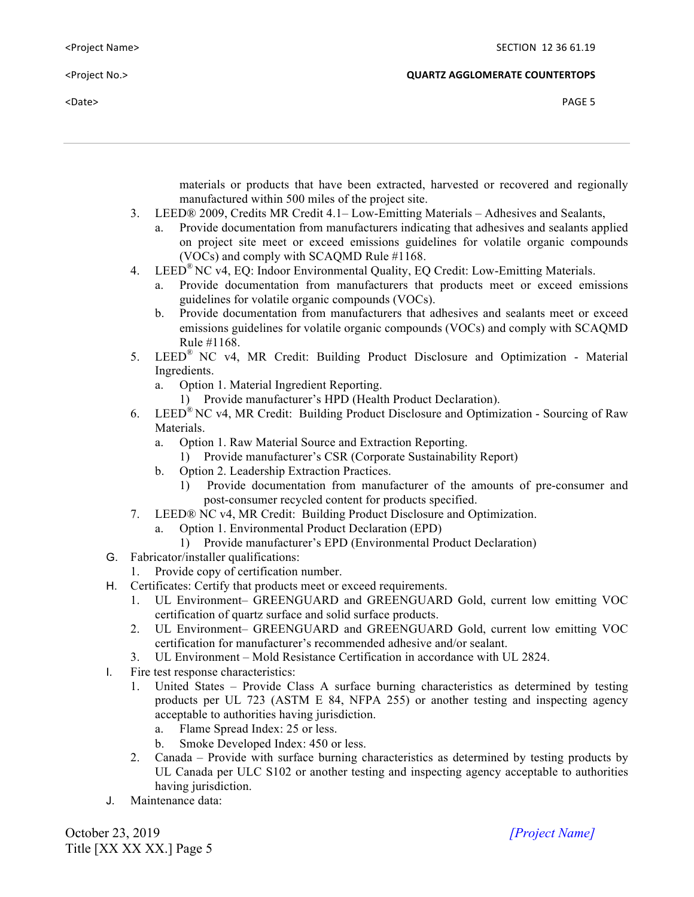$\blacktriangle$  PAGE 5  $\blacktriangleright$  PAGE 5

<Project No.> **QUARTZ AGGLOMERATE COUNTERTOPS**

materials or products that have been extracted, harvested or recovered and regionally manufactured within 500 miles of the project site.

- 3. LEED® 2009, Credits MR Credit 4.1– Low-Emitting Materials Adhesives and Sealants,
	- a. Provide documentation from manufacturers indicating that adhesives and sealants applied on project site meet or exceed emissions guidelines for volatile organic compounds (VOCs) and comply with SCAQMD Rule #1168.
- 4. LEED® NC v4, EQ: Indoor Environmental Quality, EQ Credit: Low-Emitting Materials.
	- Provide documentation from manufacturers that products meet or exceed emissions guidelines for volatile organic compounds (VOCs).
	- b. Provide documentation from manufacturers that adhesives and sealants meet or exceed emissions guidelines for volatile organic compounds (VOCs) and comply with SCAQMD Rule #1168.
- 5. LEED® NC v4, MR Credit: Building Product Disclosure and Optimization Material Ingredients.
	- a. Option 1. Material Ingredient Reporting.
		- 1) Provide manufacturer's HPD (Health Product Declaration).
- 6. LEED® NC v4, MR Credit: Building Product Disclosure and Optimization Sourcing of Raw **Materials** 
	- a. Option 1. Raw Material Source and Extraction Reporting.
		- 1) Provide manufacturer's CSR (Corporate Sustainability Report)
	- b. Option 2. Leadership Extraction Practices.
		- 1) Provide documentation from manufacturer of the amounts of pre-consumer and post-consumer recycled content for products specified.
- 7. LEED® NC v4, MR Credit: Building Product Disclosure and Optimization.
	- a. Option 1. Environmental Product Declaration (EPD)
		- 1) Provide manufacturer's EPD (Environmental Product Declaration)
- G. Fabricator/installer qualifications:
	- 1. Provide copy of certification number.
- H. Certificates: Certify that products meet or exceed requirements.
	- 1. UL Environment– GREENGUARD and GREENGUARD Gold, current low emitting VOC certification of quartz surface and solid surface products.
	- 2. UL Environment– GREENGUARD and GREENGUARD Gold, current low emitting VOC certification for manufacturer's recommended adhesive and/or sealant.
	- 3. UL Environment Mold Resistance Certification in accordance with UL 2824.
- I. Fire test response characteristics:
	- 1. United States Provide Class A surface burning characteristics as determined by testing products per UL 723 (ASTM E 84, NFPA 255) or another testing and inspecting agency acceptable to authorities having jurisdiction.
		- a. Flame Spread Index: 25 or less.
		- b. Smoke Developed Index: 450 or less.
	- 2. Canada Provide with surface burning characteristics as determined by testing products by UL Canada per ULC S102 or another testing and inspecting agency acceptable to authorities having jurisdiction.
- J. Maintenance data: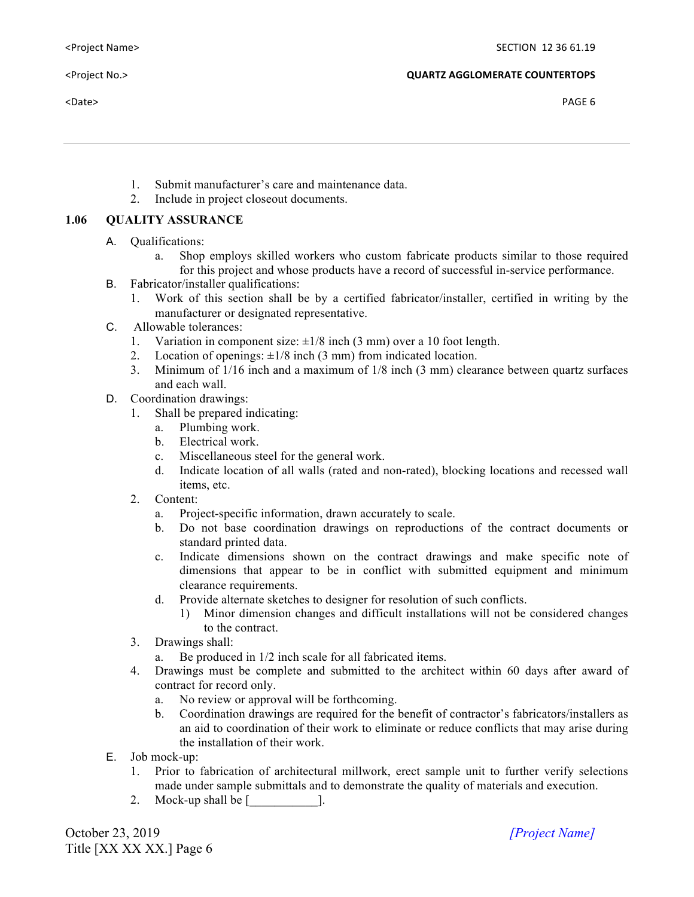- 1. Submit manufacturer's care and maintenance data.
- 2. Include in project closeout documents.

## **1.06 QUALITY ASSURANCE**

- A. Qualifications:
	- a. Shop employs skilled workers who custom fabricate products similar to those required for this project and whose products have a record of successful in-service performance.
- B. Fabricator/installer qualifications:
	- 1. Work of this section shall be by a certified fabricator/installer, certified in writing by the manufacturer or designated representative.
- C. Allowable tolerances:
	- 1. Variation in component size:  $\pm 1/8$  inch (3 mm) over a 10 foot length.
	- 2. Location of openings:  $\pm 1/8$  inch (3 mm) from indicated location.
	- 3. Minimum of 1/16 inch and a maximum of 1/8 inch (3 mm) clearance between quartz surfaces and each wall.
- D. Coordination drawings:
	- 1. Shall be prepared indicating:
		- a. Plumbing work.
		- b. Electrical work.
		- c. Miscellaneous steel for the general work.
		- d. Indicate location of all walls (rated and non-rated), blocking locations and recessed wall items, etc.
	- 2. Content:
		- a. Project-specific information, drawn accurately to scale.
		- b. Do not base coordination drawings on reproductions of the contract documents or standard printed data.
		- c. Indicate dimensions shown on the contract drawings and make specific note of dimensions that appear to be in conflict with submitted equipment and minimum clearance requirements.
		- d. Provide alternate sketches to designer for resolution of such conflicts.
			- 1) Minor dimension changes and difficult installations will not be considered changes to the contract.
	- 3. Drawings shall:
		- Be produced in  $1/2$  inch scale for all fabricated items.
	- 4. Drawings must be complete and submitted to the architect within 60 days after award of contract for record only.
		- a. No review or approval will be forthcoming.
		- b. Coordination drawings are required for the benefit of contractor's fabricators/installers as an aid to coordination of their work to eliminate or reduce conflicts that may arise during the installation of their work.
- E. Job mock-up:
	- 1. Prior to fabrication of architectural millwork, erect sample unit to further verify selections made under sample submittals and to demonstrate the quality of materials and execution.
	- 2. Mock-up shall be [\_\_\_\_\_\_\_\_\_\_\_].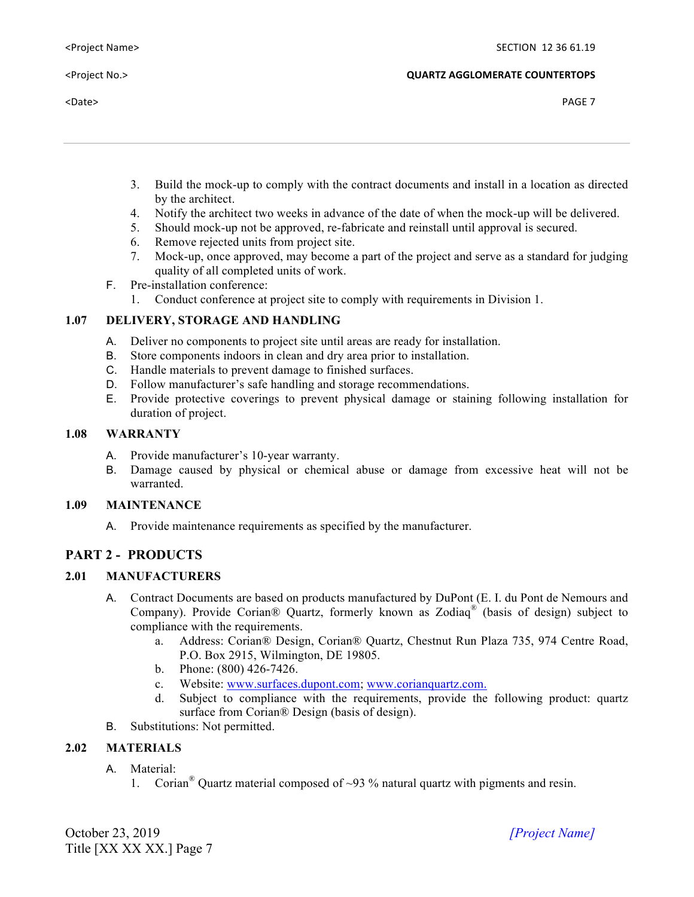- 3. Build the mock-up to comply with the contract documents and install in a location as directed by the architect.
- 4. Notify the architect two weeks in advance of the date of when the mock-up will be delivered.
- 5. Should mock-up not be approved, re-fabricate and reinstall until approval is secured.
- 6. Remove rejected units from project site.
- 7. Mock-up, once approved, may become a part of the project and serve as a standard for judging quality of all completed units of work.
- F. Pre-installation conference:
	- 1. Conduct conference at project site to comply with requirements in Division 1.

## **1.07 DELIVERY, STORAGE AND HANDLING**

- A. Deliver no components to project site until areas are ready for installation.
- B. Store components indoors in clean and dry area prior to installation.
- C. Handle materials to prevent damage to finished surfaces.
- D. Follow manufacturer's safe handling and storage recommendations.
- E. Provide protective coverings to prevent physical damage or staining following installation for duration of project.

## **1.08 WARRANTY**

- A. Provide manufacturer's 10-year warranty.
- B. Damage caused by physical or chemical abuse or damage from excessive heat will not be warranted.

## **1.09 MAINTENANCE**

A. Provide maintenance requirements as specified by the manufacturer.

## **PART 2 - PRODUCTS**

## **2.01 MANUFACTURERS**

- A. Contract Documents are based on products manufactured by DuPont (E. I. du Pont de Nemours and Company). Provide Corian® Quartz, formerly known as Zodiaq® (basis of design) subject to compliance with the requirements.
	- a. Address: Corian® Design, Corian® Quartz, Chestnut Run Plaza 735, 974 Centre Road, P.O. Box 2915, Wilmington, DE 19805.
	- b. Phone: (800) 426-7426.
	- c. Website: www.surfaces.dupont.com; www.corianquartz.com.
	- d. Subject to compliance with the requirements, provide the following product: quartz surface from Corian® Design (basis of design).
- B. Substitutions: Not permitted.

## **2.02 MATERIALS**

- A. Material:
	- 1. Corian<sup>®</sup> Quartz material composed of  $\sim$ 93 % natural quartz with pigments and resin.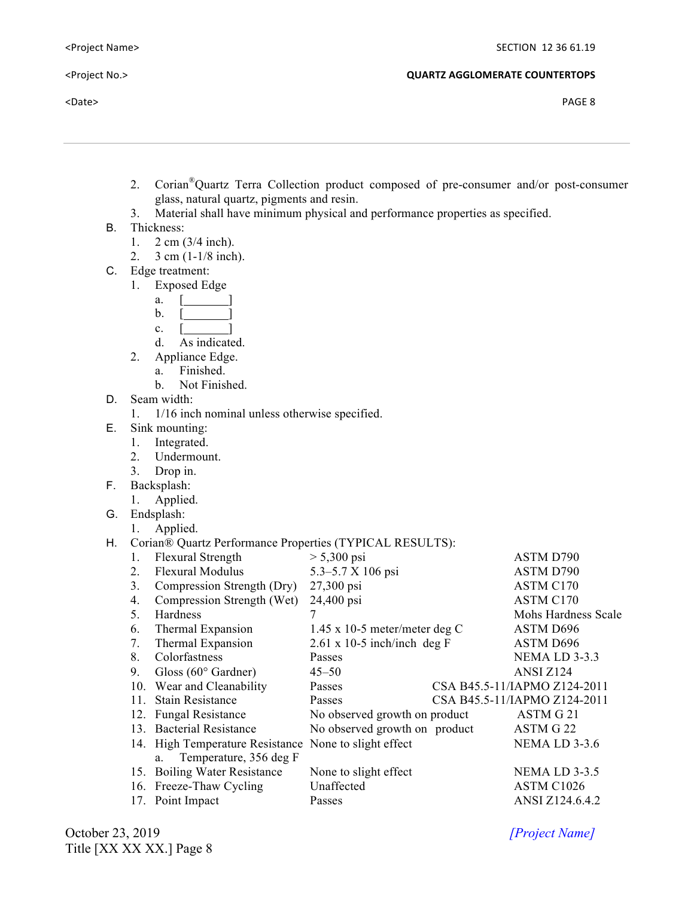- 2. Corian®Quartz Terra Collection product composed of pre-consumer and/or post-consumer glass, natural quartz, pigments and resin.
- 3. Material shall have minimum physical and performance properties as specified.
- B. Thickness:
	- 1. 2 cm (3/4 inch).
	- 2. 3 cm (1-1/8 inch).
- C. Edge treatment:
	- 1. Exposed Edge
		- a.  $\lceil \cdot \cdot \rceil$
		- b.  $\lceil$   $\rceil$
		- c.  $\lceil$
		- d. As indicated.
	- 2. Appliance Edge.
		- a. Finished.
			- b. Not Finished.
- D. Seam width:

1. 1/16 inch nominal unless otherwise specified.

- E. Sink mounting:
	- 1. Integrated.
	- 2. Undermount.
	- 3. Drop in.
- F. Backsplash:
	- 1. Applied.
- G. Endsplash:
	- 1. Applied.

## H. Corian® Quartz Performance Properties (TYPICAL RESULTS):

| 1.  | Flexural Strength                                     | $> 5,300 \,\mathrm{psi}$           | ASTM D790                    |
|-----|-------------------------------------------------------|------------------------------------|------------------------------|
| 2.  | <b>Flexural Modulus</b>                               | 5.3–5.7 X 106 psi                  | ASTM D790                    |
| 3.  | Compression Strength (Dry)                            | 27,300 psi                         | ASTM C170                    |
| 4.  | Compression Strength (Wet)                            | 24,400 psi                         | ASTM C170                    |
| 5.  | Hardness                                              | 7                                  | Mohs Hardness Scale          |
| 6.  | Thermal Expansion                                     | $1.45$ x 10-5 meter/meter deg C    | ASTM D696                    |
| 7.  | Thermal Expansion                                     | $2.61 \times 10-5$ inch/inch deg F | ASTM D696                    |
| 8.  | Colorfastness                                         | Passes                             | NEMA LD 3-3.3                |
| 9.  | Gloss $(60^{\circ}$ Gardner)                          | $45 - 50$                          | ANSI Z124                    |
|     | 10. Wear and Cleanability                             | Passes                             | CSA B45.5-11/IAPMO Z124-2011 |
| 11. | <b>Stain Resistance</b>                               | Passes                             | CSA B45.5-11/IAPMO Z124-2011 |
|     | 12. Fungal Resistance                                 | No observed growth on product      | ASTM G 21                    |
|     | 13. Bacterial Resistance                              | No observed growth on product      | ASTM G 22                    |
|     | 14. High Temperature Resistance None to slight effect |                                    | NEMA LD 3-3.6                |
|     | a. Temperature, 356 deg F                             |                                    |                              |
| 15. | <b>Boiling Water Resistance</b>                       | None to slight effect              | NEMA LD 3-3.5                |
|     | 16. Freeze-Thaw Cycling                               | Unaffected                         | ASTM C1026                   |
|     | 17. Point Impact                                      | Passes                             | ANSI Z124.6.4.2              |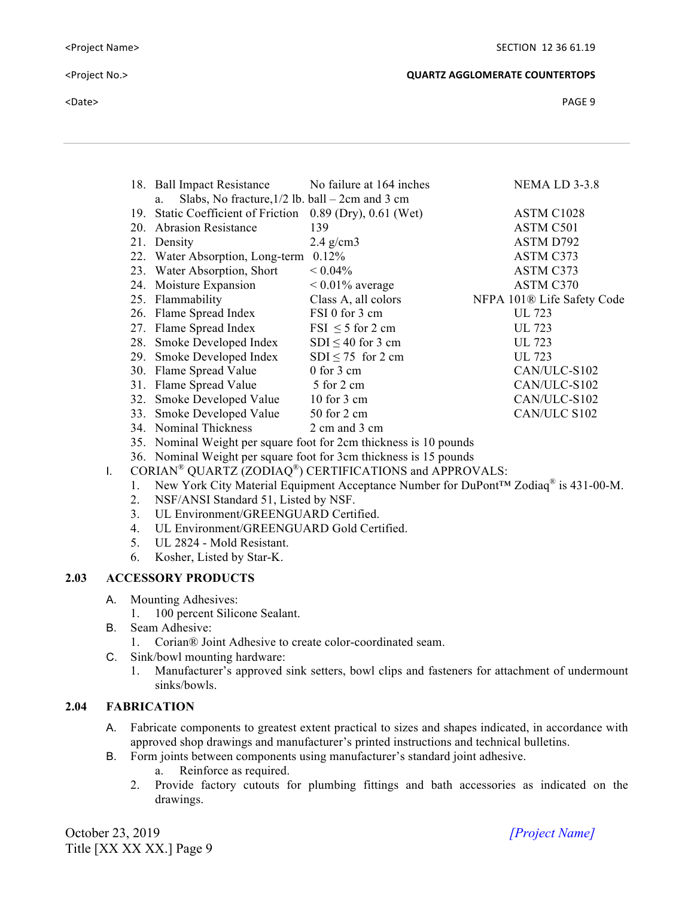|     | 18. Ball Impact Resistance                              | No failure at 164 inches                                          | <b>NEMA LD 3-3.8</b>                   |
|-----|---------------------------------------------------------|-------------------------------------------------------------------|----------------------------------------|
|     | Slabs, No fracture, $1/2$ lb. ball – 2cm and 3 cm<br>a. |                                                                   |                                        |
| 19. | <b>Static Coefficient of Friction</b>                   | $0.89$ (Dry), $0.61$ (Wet)                                        | ASTM C1028                             |
| 20. | <b>Abrasion Resistance</b>                              | 139                                                               | ASTM C501                              |
|     | 21. Density                                             | $2.4$ g/cm3                                                       | ASTM D792                              |
|     | 22. Water Absorption, Long-term                         | 0.12%                                                             | ASTM C373                              |
|     | 23. Water Absorption, Short                             | $< 0.04\%$                                                        | ASTM C373                              |
|     | 24. Moisture Expansion                                  | $< 0.01\%$ average                                                | ASTM C370                              |
|     | 25. Flammability                                        | Class A, all colors                                               | NFPA 101 <sup>®</sup> Life Safety Code |
|     | 26. Flame Spread Index                                  | FSI 0 for 3 cm                                                    | UL 723                                 |
|     | 27. Flame Spread Index                                  | $FSI \leq 5$ for 2 cm                                             | UL 723                                 |
|     | 28. Smoke Developed Index                               | $SDI \leq 40$ for 3 cm                                            | UL 723                                 |
|     | 29. Smoke Developed Index                               | $SDI \le 75$ for 2 cm                                             | UL 723                                 |
|     | 30. Flame Spread Value                                  | $0$ for $3$ cm                                                    | CAN/ULC-S102                           |
|     | 31. Flame Spread Value                                  | 5 for 2 cm                                                        | CAN/ULC-S102                           |
|     | 32. Smoke Developed Value                               | $10$ for $3$ cm                                                   | CAN/ULC-S102                           |
|     | 33. Smoke Developed Value                               | 50 for 2 cm                                                       | CAN/ULC S102                           |
|     | 34. Nominal Thickness                                   | 2 cm and 3 cm                                                     |                                        |
|     |                                                         | 35. Nominal Weight per square foot for 2cm thickness is 10 pounds |                                        |

36. Nominal Weight per square foot for 3cm thickness is 15 pounds

- I. CORIAN<sup>®</sup> QUARTZ (ZODIAQ<sup>®</sup>) CERTIFICATIONS and APPROVALS:
	- 1. New York City Material Equipment Acceptance Number for DuPont™ Zodiaq® is 431-00-M.
	- 2. NSF/ANSI Standard 51, Listed by NSF.
	- 3. UL Environment/GREENGUARD Certified.
	- 4. UL Environment/GREENGUARD Gold Certified.
	- 5. UL 2824 Mold Resistant.
	- 6. Kosher, Listed by Star-K.

## **2.03 ACCESSORY PRODUCTS**

- A. Mounting Adhesives:
	- 1. 100 percent Silicone Sealant.
- B. Seam Adhesive:
	- 1. Corian® Joint Adhesive to create color-coordinated seam.
- C. Sink/bowl mounting hardware:
	- 1. Manufacturer's approved sink setters, bowl clips and fasteners for attachment of undermount sinks/bowls.

## **2.04 FABRICATION**

- A. Fabricate components to greatest extent practical to sizes and shapes indicated, in accordance with approved shop drawings and manufacturer's printed instructions and technical bulletins.
- B. Form joints between components using manufacturer's standard joint adhesive.
	- a. Reinforce as required.
	- 2. Provide factory cutouts for plumbing fittings and bath accessories as indicated on the drawings.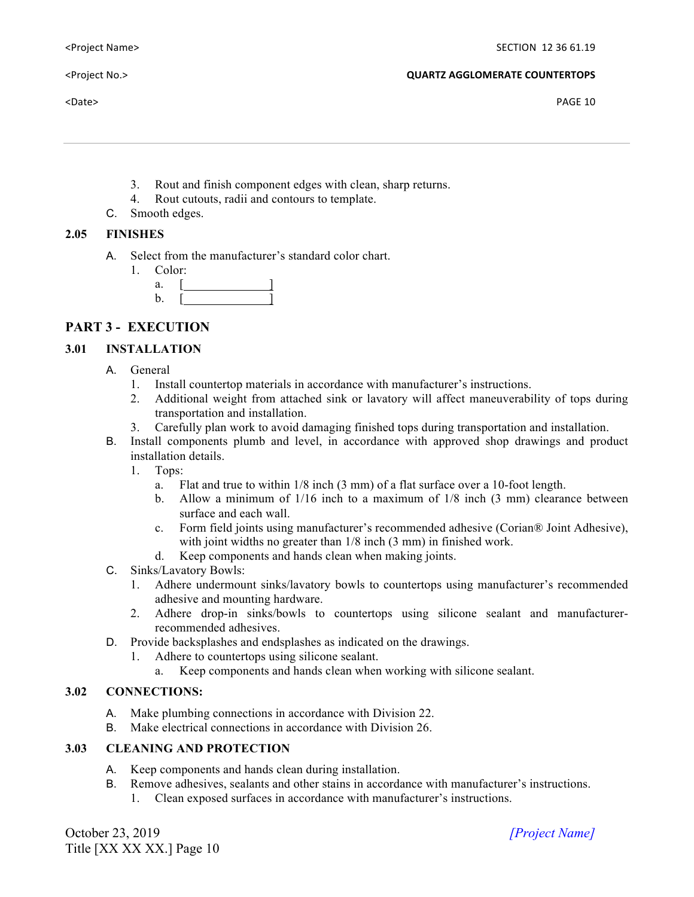- 3. Rout and finish component edges with clean, sharp returns.
- 4. Rout cutouts, radii and contours to template.
- C. Smooth edges.

## **2.05 FINISHES**

- A. Select from the manufacturer's standard color chart.
	- 1. Color:
		- a.  $\lceil$  $b.$  [

# **PART 3 - EXECUTION**

## **3.01 INSTALLATION**

- A. General
	- 1. Install countertop materials in accordance with manufacturer's instructions.
	- 2. Additional weight from attached sink or lavatory will affect maneuverability of tops during transportation and installation.
	- 3. Carefully plan work to avoid damaging finished tops during transportation and installation.
- B. Install components plumb and level, in accordance with approved shop drawings and product installation details.
	- 1. Tops:
		- a. Flat and true to within 1/8 inch (3 mm) of a flat surface over a 10-foot length.
		- b. Allow a minimum of 1/16 inch to a maximum of 1/8 inch (3 mm) clearance between surface and each wall.
		- c. Form field joints using manufacturer's recommended adhesive (Corian® Joint Adhesive), with joint widths no greater than  $1/8$  inch (3 mm) in finished work.
	- d. Keep components and hands clean when making joints.
- C. Sinks/Lavatory Bowls:
	- 1. Adhere undermount sinks/lavatory bowls to countertops using manufacturer's recommended adhesive and mounting hardware.
	- 2. Adhere drop-in sinks/bowls to countertops using silicone sealant and manufacturerrecommended adhesives.
- D. Provide backsplashes and endsplashes as indicated on the drawings.
	- 1. Adhere to countertops using silicone sealant.
		- a. Keep components and hands clean when working with silicone sealant.

## **3.02 CONNECTIONS:**

- A. Make plumbing connections in accordance with Division 22.
- B. Make electrical connections in accordance with Division 26.

# **3.03 CLEANING AND PROTECTION**

- A. Keep components and hands clean during installation.
- B. Remove adhesives, sealants and other stains in accordance with manufacturer's instructions. 1. Clean exposed surfaces in accordance with manufacturer's instructions.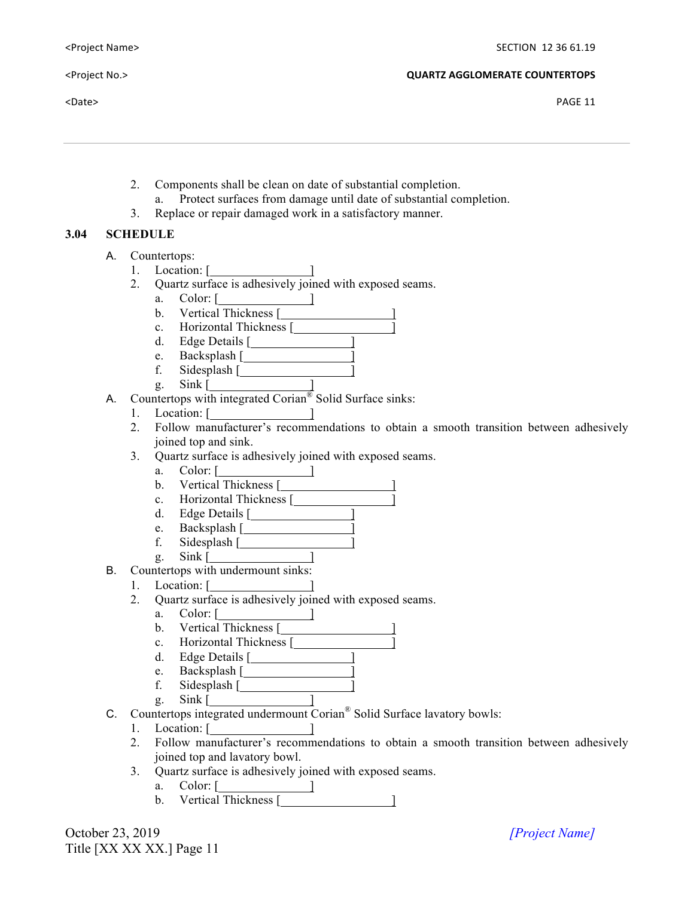$\epsilon$ Date> PAGE 11

- 2. Components shall be clean on date of substantial completion.
	- a. Protect surfaces from damage until date of substantial completion.
- 3. Replace or repair damaged work in a satisfactory manner.

## **3.04 SCHEDULE**

- A. Countertops:
	- 1. Location: [<u>2001]</u>
	- 2. Quartz surface is adhesively joined with exposed seams.
		- a. Color: [ <u>]</u>
		- b. Vertical Thickness [
		- c. Horizontal Thickness [ ]
		- d. Edge Details [*Martial* **Details** [*Martial* **Details** *Martial* **<b>Details** *Martial* **<b>**
		- e. Backsplash [ ]
		- f. Sidesplash [*1820* Sidesplash [*1820* Sidesplash **1 1820** Sidesplash **1820** Sidesplan **1820** Sidespite **1820** Sidespite **1820** Sidespite **1820** Sidespite **1820** Sidespite **1820** Sidespite **1820** Sidespite **1820** Sides g. Sink [ ]
- A. Countertops with integrated Corian<sup>®</sup> Solid Surface sinks:
	- 1. Location: [ ]
	- 2. Follow manufacturer's recommendations to obtain a smooth transition between adhesively joined top and sink.
	- 3. Quartz surface is adhesively joined with exposed seams.
		- a. Color: [<u>2005]</u>
		- b. Vertical Thickness [1988]
		- c. Horizontal Thickness [
		- d. Edge Details [ ]
		- e. Backsplash [ ]
		- f. Sidesplash [
- g. Sink [<u>2001]</u> B. Countertops with undermount sinks:
	- 1. Location: [ ]
	- 2. Quartz surface is adhesively joined with exposed seams.
		- a. Color: [ ]
		- b. Vertical Thickness [
		- c. Horizontal Thickness [
		- d. Edge Details [ ]
		- e. Backsplash [ <u>]</u>
		- f. Sidesplash [
		- g.  $Sink$   $\boxed{\qquad \qquad}$
- C. Countertops integrated undermount Corian® Solid Surface lavatory bowls:
	- 1. Location: [ ]
	- 2. Follow manufacturer's recommendations to obtain a smooth transition between adhesively joined top and lavatory bowl.
	- 3. Quartz surface is adhesively joined with exposed seams.
		- a. Color: [ ]
		- b. Vertical Thickness [ ]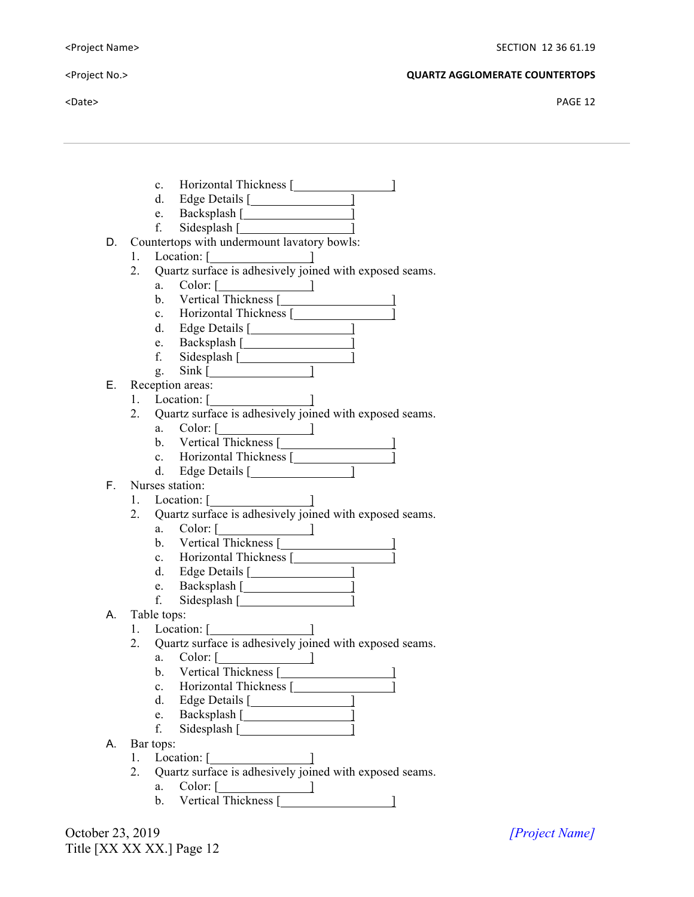$\blacktriangle$  Date> PAGE 12

- c. Horizontal Thickness [
- d. Edge Details [ **]**
- e. Backsplash [ **1988**]
- f. Sidesplash [
- D. Countertops with undermount lavatory bowls:
	- 1. Location: [<u>2001]</u>
	- 2. Quartz surface is adhesively joined with exposed seams.
		- a. Color: [ ]
		- b. Vertical Thickness [
		- c. Horizontal Thickness [
		- d. Edge Details [ **]**
		- e. Backsplash [ ]
		- f. Sidesplash [ ]
		- g. Sink [ ]
- E. Reception areas:
	- 1. Location: [<u>2004]</u>
	- 2. Quartz surface is adhesively joined with exposed seams.
		- a. Color: [ ]
		- b. Vertical Thickness [
		- c. Horizontal Thickness [
		- d. Edge Details [ ]
- F. Nurses station:
	- 1. Location: [ ]
	- 2. Quartz surface is adhesively joined with exposed seams.
		- a. Color: [ ]
		- b. Vertical Thickness [1988]
		- c. Horizontal Thickness [
		- d. Edge Details [ ]
		- e. Backsplash  $\begin{bmatrix} \overline{\phantom{a}} & \overline{\phantom{a}} \\ \overline{\phantom{a}} & \overline{\phantom{a}} \end{bmatrix}$ f. Sidesplash [ ]
		-
- A. Table tops:
	- 1. Location:  $\begin{bmatrix} 1 & 1 & 1 \\ 1 & 1 & 1 \end{bmatrix}$
	- 2. Quartz surface is adhesively joined with exposed seams.
		- a. Color: [<u>2005]</u>
		- b. Vertical Thickness [1988]
		- c. Horizontal Thickness [
		- d. Edge Details [144]
		- e. Backsplash [ ] f. Sidesplash  $\lceil$
		-
- A. Bar tops:
	- 1. Location: [*\_\_\_\_\_\_\_\_\_\_\_\_\_* ]
	- 2. Quartz surface is adhesively joined with exposed seams.
		- a. Color: [ ]
		- b. Vertical Thickness [ ]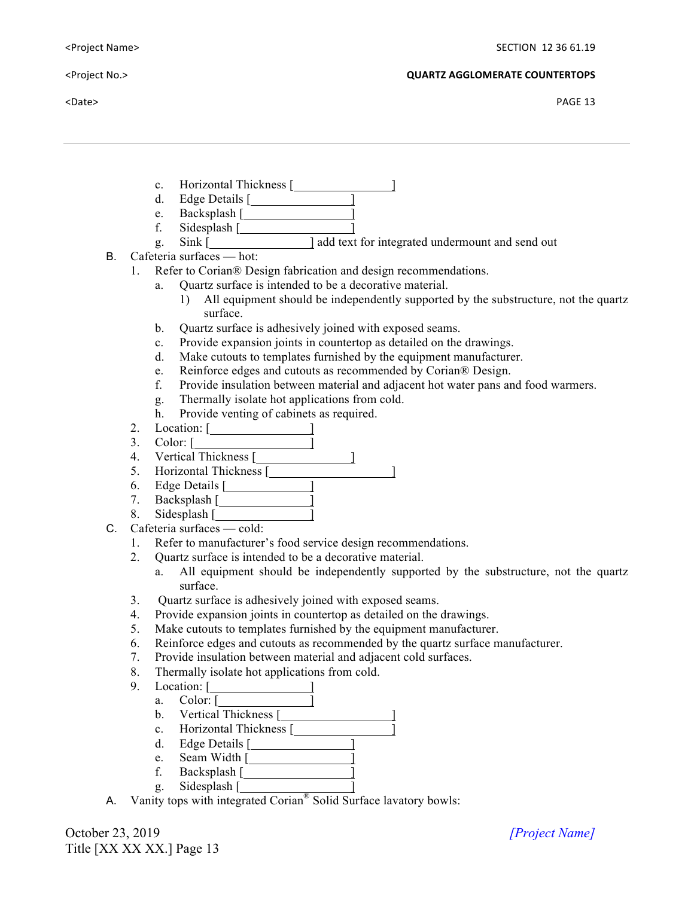$\blacktriangle$  Particles and the contract of the contract of the contract of the contract of the contract of the contract of the contract of the contract of the contract of the contract of the contract of the contract of the contra

- c. Horizontal Thickness [
- d. Edge Details [ **]**
- e. Backsplash [ ]
- f. Sidesplash  $[$
- g. Sink [ ] add text for integrated undermount and send out
- B. Cafeteria surfaces hot:
	- 1. Refer to Corian® Design fabrication and design recommendations.
		- a. Quartz surface is intended to be a decorative material.
			- 1) All equipment should be independently supported by the substructure, not the quartz surface.
		- b. Quartz surface is adhesively joined with exposed seams.
		- c. Provide expansion joints in countertop as detailed on the drawings.
		- d. Make cutouts to templates furnished by the equipment manufacturer.
		- e. Reinforce edges and cutouts as recommended by Corian® Design.
		- f. Provide insulation between material and adjacent hot water pans and food warmers.
		- g. Thermally isolate hot applications from cold.
		- h. Provide venting of cabinets as required.
	- 2. Location: [*\_\_\_\_\_\_\_\_\_\_\_\_* ]
	- 3. Color: [ ]
	- 4. Vertical Thickness [
	- 5. Horizontal Thickness [
	- 6. Edge Details [*Murrey*]
	- 7. Backsplash [ <u>]</u>
	- 8. Sidesplash [ ]
- C. Cafeteria surfaces cold:
	- 1. Refer to manufacturer's food service design recommendations.
	- 2. Quartz surface is intended to be a decorative material.
		- a. All equipment should be independently supported by the substructure, not the quartz surface.
	- 3. Quartz surface is adhesively joined with exposed seams.
	- 4. Provide expansion joints in countertop as detailed on the drawings.
	- 5. Make cutouts to templates furnished by the equipment manufacturer.
	- 6. Reinforce edges and cutouts as recommended by the quartz surface manufacturer.
	- 7. Provide insulation between material and adjacent cold surfaces.
	- 8. Thermally isolate hot applications from cold.
	- 9. Location: [<u>2001]</u>
		- a. Color: [ ]
			- b. Vertical Thickness [1988]
			- c. Horizontal Thickness [
			- d. Edge Details [ ]
			- e. Seam Width [ ]
			- f. Backsplash [ ]
			- g. Sidesplash [ ]
- A. Vanity tops with integrated Corian® Solid Surface lavatory bowls: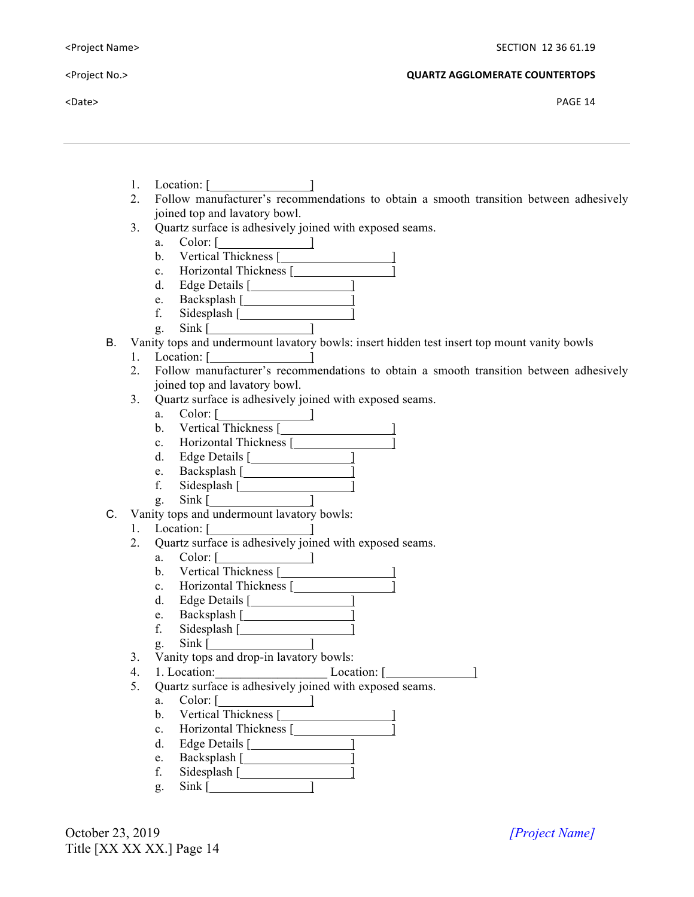$\epsilon$ Date> PAGE 14

- 1. Location: [<u>2001]</u>
- 2. Follow manufacturer's recommendations to obtain a smooth transition between adhesively joined top and lavatory bowl.
- 3. Quartz surface is adhesively joined with exposed seams.
	- a. Color:  $\begin{bmatrix} \end{bmatrix}$
	- b. Vertical Thickness [1988]
	- c. Horizontal Thickness [
	- d. Edge Details [1988]
	- e. Backsplash [ ] f. Sidesplash [ ]
	- g. Sink [ ]
- B. Vanity tops and undermount lavatory bowls: insert hidden test insert top mount vanity bowls
	- 1. Location: [
	- 2. Follow manufacturer's recommendations to obtain a smooth transition between adhesively joined top and lavatory bowl.
	- 3. Quartz surface is adhesively joined with exposed seams.
		- a. Color: [<u>2005]</u>
		- b. Vertical Thickness [ ]
		- c. Horizontal Thickness [ ]
		- d. Edge Details [ ]
		- e. Backsplash [ ]
		- f. Sidesplash [ ]
		- g. Sink [ ]
- C. Vanity tops and undermount lavatory bowls:
	- 1. Location: [
	- 2. Quartz surface is adhesively joined with exposed seams.
		- a. Color:  $\begin{bmatrix} \end{bmatrix}$
		- b. Vertical Thickness [
		- c. Horizontal Thickness [
		- d. Edge Details [ ]
		- e. Backsplash [ ]
		- f. Sidesplash [ ]
		- g. Sink [ ]
	- 3. Vanity tops and drop-in lavatory bowls:
	- 4. 1. Location: Location: [ <u>[ ]</u>
	- 5. Quartz surface is adhesively joined with exposed seams.
		- $a.$  Color:  $\begin{bmatrix} 1 & 1 & 1 \\ 1 & 1 & 1 \\ 1 & 1 & 1 \end{bmatrix}$
		- b. Vertical Thickness [
		- c. Horizontal Thickness [
		- d. Edge Details [ ]
		- e. Backsplash [ ]
		- f. Sidesplash  $\lceil$
		- g. Sink [ ]